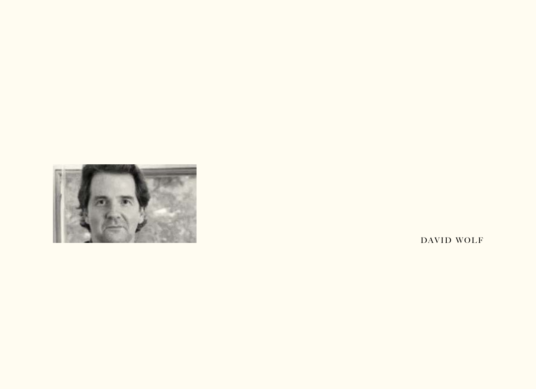

DAVID WOLF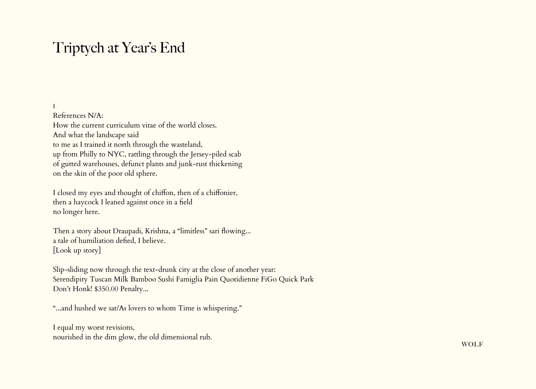## Triptych at Year's End

#### I

References N/A: How the current curriculum vitae of the world closes. And what the landscape said to me as I trained it north through the wasteland, up from Philly to NYC, rattling through the Jersey-piled scab of gutted warehouses, defunct plants and junk-rust thickening on the skin of the poor old sphere.

I closed my eyes and thought of chiffon, then of a chiffonier, then a haycock I leaned against once in a field no longer here.

Then a story about Draupadi, Krishna, a "limitless" sari flowing... a tale of humiliation defied, I believe. [Look up story]

Slip-sliding now through the text-drunk city at the close of another year: Serendipity Tuscan Milk Bamboo Sushi Famiglia Pain Quotidienne FiGo Quick Park Don't Honk! \$350.00 Penalty...

"...and hushed we sat/As lovers to whom Time is whispering."

I equal my worst revisions, nourished in the dim glow, the old dimensional rub.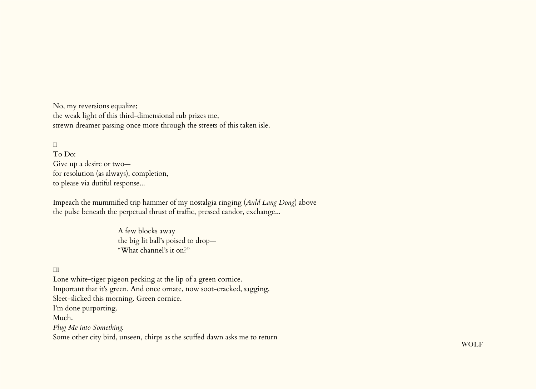No, my reversions equalize; the weak light of this third-dimensional rub prizes me, strewn dreamer passing once more through the streets of this taken isle.

II To Do: Give up a desire or two for resolution (as always), completion, to please via dutiful response...

Impeach the mummified trip hammer of my nostalgia ringing (*Auld Lang Dong*) above the pulse beneath the perpetual thrust of traffic, pressed candor, exchange...

> A few blocks away the big lit ball's poised to drop— "What channel's it on?"

#### III

Lone white-tiger pigeon pecking at the lip of a green cornice. Important that it's green. And once ornate, now soot-cracked, sagging. Sleet-slicked this morning. Green cornice. I'm done purporting. Much. *Plug Me into Something.* Some other city bird, unseen, chirps as the scuffed dawn asks me to return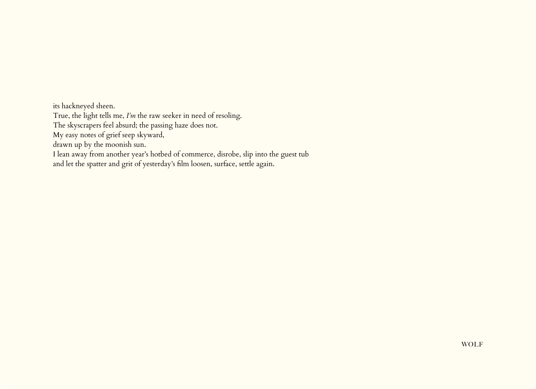its hackneyed sheen. True, the light tells me, *I'm* the raw seeker in need of resoling. The skyscrapers feel absurd; the passing haze does not. My easy notes of grief seep skyward, drawn up by the moonish sun. I lean away from another year's hotbed of commerce, disrobe, slip into the guest tub and let the spatter and grit of yesterday's film loosen, surface, settle again.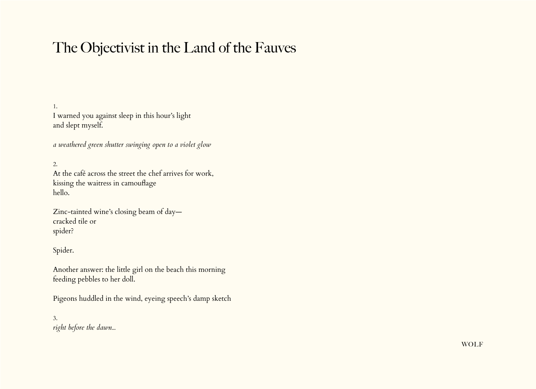# The Objectivist in the Land of the Fauves

1. I warned you against sleep in this hour's light and slept myself.

*a weathered green shutter swinging open to a violet glow*

2.

At the café across the street the chef arrives for work, kissing the waitress in camouflage hello.

Zinc-tainted wine's closing beam of day cracked tile or spider?

Spider.

Another answer: the little girl on the beach this morning feeding pebbles to her doll.

Pigeons huddled in the wind, eyeing speech's damp sketch

3. *right before the dawn...*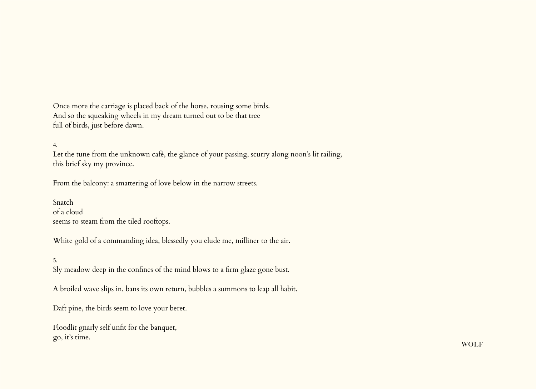Once more the carriage is placed back of the horse, rousing some birds. And so the squeaking wheels in my dream turned out to be that tree full of birds, just before dawn.

4.

Let the tune from the unknown café, the glance of your passing, scurry along noon's lit railing, this brief sky my province.

From the balcony: a smattering of love below in the narrow streets.

Snatch of a cloud seems to steam from the tiled rooftops.

White gold of a commanding idea, blessedly you elude me, milliner to the air.

5. Sly meadow deep in the confines of the mind blows to a firm glaze gone bust.

A broiled wave slips in, bans its own return, bubbles a summons to leap all habit.

Daft pine, the birds seem to love your beret.

Floodlit gnarly self unfit for the banquet, go, it's time.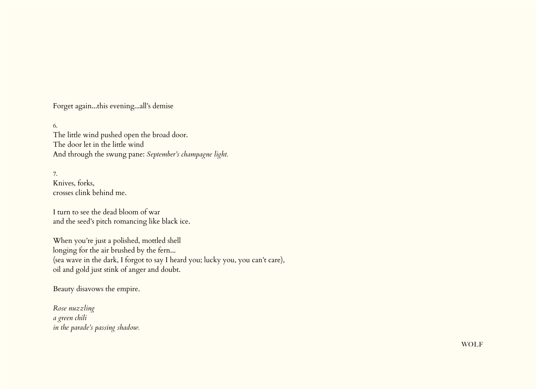Forget again...this evening...all's demise

6. The little wind pushed open the broad door. The door let in the little wind And through the swung pane: *September's champagne light.*

7. Knives, forks, crosses clink behind me.

I turn to see the dead bloom of war and the seed's pitch romancing like black ice.

When you're just a polished, mottled shell longing for the air brushed by the fern... (sea wave in the dark, I forgot to say I heard you; lucky you, you can't care), oil and gold just stink of anger and doubt.

Beauty disavows the empire.

*Rose nuzzling a green chili in the parade's passing shadow.*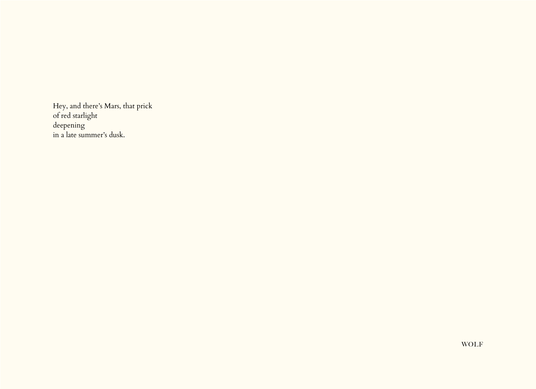Hey, and there's Mars, that prick of red starlight deepening in a late summer's dusk.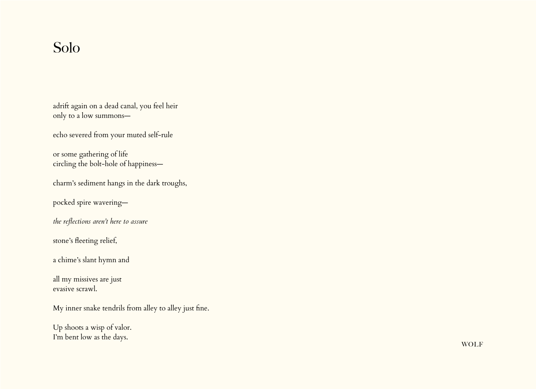### Solo

adrift again on a dead canal, you feel heir only to a low summons—

echo severed from your muted self-rule

or some gathering of life circling the bolt-hole of happiness—

charm's sediment hangs in the dark troughs,

pocked spire wavering—

*the reflections aren't here to assure*

stone's fleeting relief,

a chime's slant hymn and

all my missives are just evasive scrawl.

My inner snake tendrils from alley to alley just fine.

Up shoots a wisp of valor. I'm bent low as the days.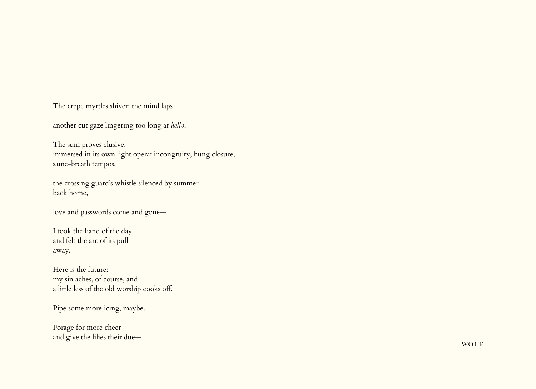The crepe myrtles shiver; the mind laps

another cut gaze lingering too long at *hello*.

The sum proves elusive, immersed in its own light opera: incongruity, hung closure, same-breath tempos,

the crossing guard's whistle silenced by summer back home,

love and passwords come and gone—

I took the hand of the day and felt the arc of its pull away.

Here is the future: my sin aches, of course, and a little less of the old worship cooks off.

Pipe some more icing, maybe.

Forage for more cheer and give the lilies their due—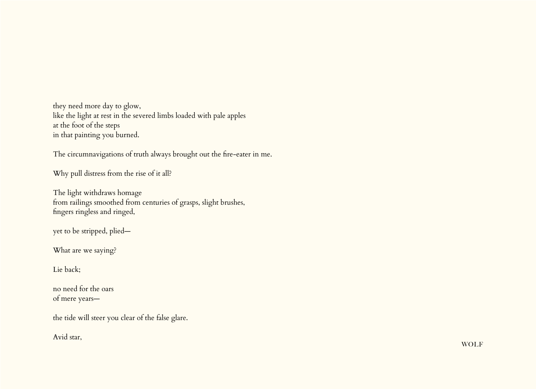they need more day to glow, like the light at rest in the severed limbs loaded with pale apples at the foot of the steps in that painting you burned.

The circumnavigations of truth always brought out the fire-eater in me.

Why pull distress from the rise of it all?

The light withdraws homage from railings smoothed from centuries of grasps, slight brushes, fingers ringless and ringed,

yet to be stripped, plied—

What are we saying?

Lie back;

no need for the oars of mere years—

the tide will steer you clear of the false glare.

Avid star,